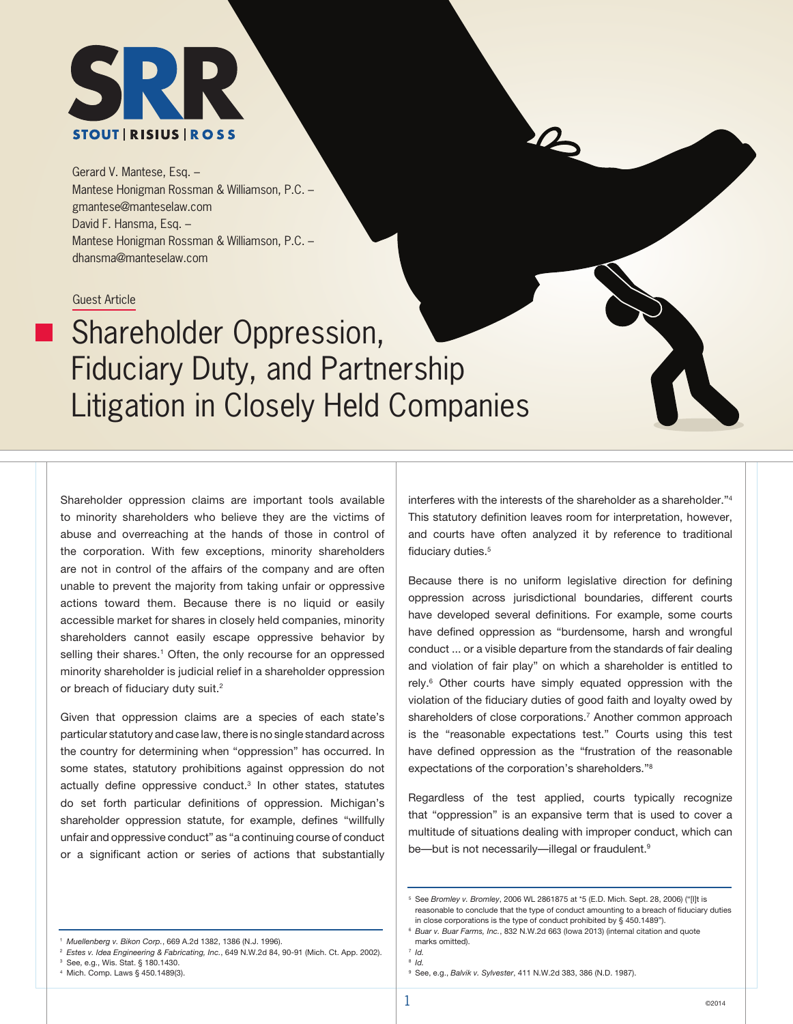

Gerard V. Mantese, Esq. – Mantese Honigman Rossman & Williamson, P.C. – gmantese@manteselaw.com David F. Hansma, Esq. – Mantese Honigman Rossman & Williamson, P.C. – dhansma@manteselaw.com

Guest Article

# Shareholder Oppression, Fiduciary Duty, and Partnership Litigation in Closely Held Companies

Shareholder oppression claims are important tools available to minority shareholders who believe they are the victims of abuse and overreaching at the hands of those in control of the corporation. With few exceptions, minority shareholders are not in control of the affairs of the company and are often unable to prevent the majority from taking unfair or oppressive actions toward them. Because there is no liquid or easily accessible market for shares in closely held companies, minority shareholders cannot easily escape oppressive behavior by selling their shares.<sup>1</sup> Often, the only recourse for an oppressed minority shareholder is judicial relief in a shareholder oppression or breach of fiduciary duty suit.<sup>2</sup>

Given that oppression claims are a species of each state's particular statutory and case law, there is no single standard across the country for determining when "oppression" has occurred. In some states, statutory prohibitions against oppression do not actually define oppressive conduct.<sup>3</sup> In other states, statutes do set forth particular definitions of oppression. Michigan's shareholder oppression statute, for example, defines "willfully unfair and oppressive conduct" as "a continuing course of conduct or a significant action or series of actions that substantially interferes with the interests of the shareholder as a shareholder.<sup>34</sup> This statutory definition leaves room for interpretation, however, and courts have often analyzed it by reference to traditional fiduciary duties.<sup>5</sup>

 $\mathcal{L}$ 

Because there is no uniform legislative direction for defining oppression across jurisdictional boundaries, different courts have developed several definitions. For example, some courts have defined oppression as "burdensome, harsh and wrongful conduct ... or a visible departure from the standards of fair dealing and violation of fair play" on which a shareholder is entitled to rely.<sup>6</sup> Other courts have simply equated oppression with the violation of the fiduciary duties of good faith and loyalty owed by shareholders of close corporations.<sup>7</sup> Another common approach is the "reasonable expectations test." Courts using this test have defined oppression as the "frustration of the reasonable expectations of the corporation's shareholders."8

Regardless of the test applied, courts typically recognize that "oppression" is an expansive term that is used to cover a multitude of situations dealing with improper conduct, which can be—but is not necessarily—illegal or fraudulent.<sup>9</sup>

See, e.g., Wis. Stat. § 180.1430.

<sup>5</sup> See *Bromley v. Bromley*, 2006 WL 2861875 at \*5 (E.D. Mich. Sept. 28, 2006) ("[I]t is reasonable to conclude that the type of conduct amounting to a breach of fiduciary duties in close corporations is the type of conduct prohibited by § 450.1489").

<sup>1</sup> *Muellenberg v. Bikon Corp.*, 669 A.2d 1382, 1386 (N.J. 1996).

<sup>2</sup> *Estes v. Idea Engineering & Fabricating, Inc.*, 649 N.W.2d 84, 90-91 (Mich. Ct. App. 2002).

<sup>4</sup> Mich. Comp. Laws § 450.1489(3).

<sup>6</sup> *Buar v. Buar Farms, Inc.*, 832 N.W.2d 663 (Iowa 2013) (internal citation and quote marks omitted).

<sup>7</sup> *Id.*  <sup>8</sup> *Id.* 

<sup>9</sup> See, e.g., *Balvik v. Sylvester*, 411 N.W.2d 383, 386 (N.D. 1987).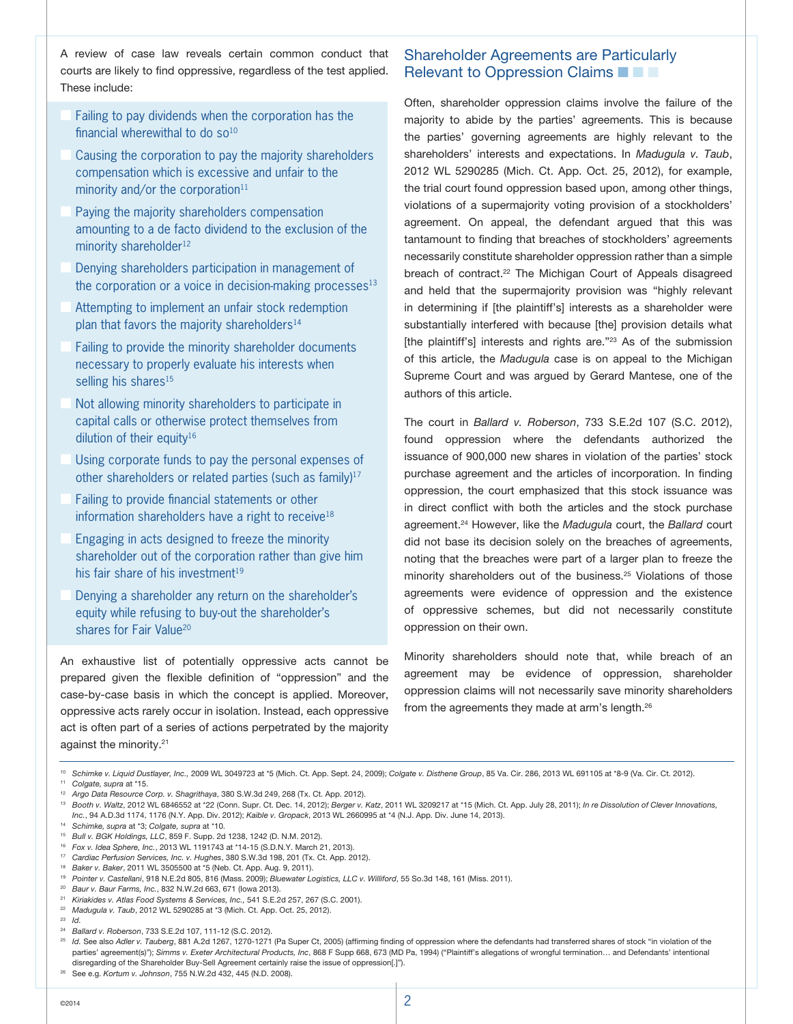A review of case law reveals certain common conduct that courts are likely to find oppressive, regardless of the test applied. These include:

- Failing to pay dividends when the corporation has the financial wherewithal to do  $so<sup>10</sup>$
- Causing the corporation to pay the majority shareholders compensation which is excessive and unfair to the minority and/or the corporation $11$
- Paying the majority shareholders compensation amounting to a de facto dividend to the exclusion of the minority shareholder<sup>12</sup>
- Denying shareholders participation in management of the corporation or a voice in decision-making processes $13$
- Attempting to implement an unfair stock redemption plan that favors the majority shareholders<sup>14</sup>
- Failing to provide the minority shareholder documents necessary to properly evaluate his interests when selling his shares<sup>15</sup>
- Not allowing minority shareholders to participate in capital calls or otherwise protect themselves from dilution of their equity<sup>16</sup>
- Using corporate funds to pay the personal expenses of other shareholders or related parties (such as family)<sup>17</sup>
- Failing to provide financial statements or other information shareholders have a right to receive<sup>18</sup>
- Engaging in acts designed to freeze the minority shareholder out of the corporation rather than give him his fair share of his investment<sup>19</sup>
- Denying a shareholder any return on the shareholder's equity while refusing to buy-out the shareholder's shares for Fair Value<sup>20</sup>

An exhaustive list of potentially oppressive acts cannot be prepared given the flexible definition of "oppression" and the case-by-case basis in which the concept is applied. Moreover, oppressive acts rarely occur in isolation. Instead, each oppressive act is often part of a series of actions perpetrated by the majority against the minority.<sup>21</sup>

## Shareholder Agreements are Particularly Relevant to Oppression Claims  $\blacksquare$   $\blacksquare$

Often, shareholder oppression claims involve the failure of the majority to abide by the parties' agreements. This is because the parties' governing agreements are highly relevant to the shareholders' interests and expectations. In *Madugula v. Taub*, 2012 WL 5290285 (Mich. Ct. App. Oct. 25, 2012), for example, the trial court found oppression based upon, among other things, violations of a supermajority voting provision of a stockholders' agreement. On appeal, the defendant argued that this was tantamount to finding that breaches of stockholders' agreements necessarily constitute shareholder oppression rather than a simple breach of contract.<sup>22</sup> The Michigan Court of Appeals disagreed and held that the supermajority provision was "highly relevant in determining if [the plaintiff's] interests as a shareholder were substantially interfered with because [the] provision details what [the plaintiff's] interests and rights are."<sup>23</sup> As of the submission of this article, the *Madugula* case is on appeal to the Michigan Supreme Court and was argued by Gerard Mantese, one of the authors of this article.

The court in *Ballard v. Roberson*, 733 S.E.2d 107 (S.C. 2012), found oppression where the defendants authorized the issuance of 900,000 new shares in violation of the parties' stock purchase agreement and the articles of incorporation. In finding oppression, the court emphasized that this stock issuance was in direct conflict with both the articles and the stock purchase agreement.24 However, like the *Madugula* court, the *Ballard* court did not base its decision solely on the breaches of agreements, noting that the breaches were part of a larger plan to freeze the minority shareholders out of the business.<sup>25</sup> Violations of those agreements were evidence of oppression and the existence of oppressive schemes, but did not necessarily constitute oppression on their own.

Minority shareholders should note that, while breach of an agreement may be evidence of oppression, shareholder oppression claims will not necessarily save minority shareholders from the agreements they made at arm's length.<sup>26</sup>

<sup>14</sup> *Schimke, supra* at \*3; *Colgate, supra* at \*10.

<sup>17</sup> *Cardiac Perfusion Services, Inc. v. Hughes*, 380 S.W.3d 198, 201 (Tx. Ct. App. 2012).

- <sup>21</sup> *Kiriakides v. Atlas Food Systems & Services, Inc.,* 541 S.E.2d 257, 267 (S.C. 2001).
- <sup>22</sup> *Madugula v. Taub*, 2012 WL 5290285 at \*3 (Mich. Ct. App. Oct. 25, 2012).
- <sup>23</sup> *Id.*

<sup>25</sup> *Id.* See also *Adler v. Tauberg*, 881 A.2d 1267, 1270-1271 (Pa Super Ct, 2005) (affirming finding of oppression where the defendants had transferred shares of stock "in violation of the parties' agreement(s)"); *Simms v. Exeter Architectural Products, Inc*, 868 F Supp 668, 673 (MD Pa, 1994) ("Plaintiff's allegations of wrongful termination... and Defendants' intentional disregarding of the Shareholder Buy-Sell Agreement certainly raise the issue of oppression[.]").

<sup>10</sup> *Schimke v. Liquid Dustlayer, Inc.,* 2009 WL 3049723 at \*5 (Mich. Ct. App. Sept. 24, 2009); *Colgate v. Disthene Group*, 85 Va. Cir. 286, 2013 WL 691105 at \*8-9 (Va. Cir. Ct. 2012). <sup>11</sup> *Colgate, supra* at \*15.

<sup>12</sup> *Argo Data Resource Corp. v. Shagrithaya*, 380 S.W.3d 249, 268 (Tx. Ct. App. 2012).

<sup>&</sup>lt;sup>13</sup> Booth v. Waltz, 2012 WL 6846552 at \*22 (Conn. Supr. Ct. Dec. 14, 2012); Berger v. Katz, 2011 WL 3209217 at \*15 (Mich. Ct. App. July 28, 2011); *In re Dissolution of Clever Innovations*, *Inc.*, 94 A.D.3d 1174, 1176 (N.Y. App. Div. 2012); *Kaible v. Gropack*, 2013 WL 2660995 at \*4 (N.J. App. Div. June 14, 2013).

<sup>15</sup> *Bull v. BGK Holdings, LLC*, 859 F. Supp. 2d 1238, 1242 (D. N.M. 2012).

<sup>16</sup> *Fox v. Idea Sphere, Inc.*, 2013 WL 1191743 at \*14-15 (S.D.N.Y. March 21, 2013).

<sup>18</sup> *Baker v. Baker*, 2011 WL 3505500 at \*5 (Neb. Ct. App. Aug. 9, 2011).

<sup>19</sup> *Pointer v. Castellani*, 918 N.E.2d 805, 816 (Mass. 2009); *Bluewater Logistics, LLC v. Williford*, 55 So.3d 148, 161 (Miss. 2011).

<sup>20</sup> *Baur v. Baur Farms, Inc.*, 832 N.W.2d 663, 671 (Iowa 2013).

<sup>24</sup> *Ballard v. Roberson*, 733 S.E.2d 107, 111-12 (S.C. 2012).

<sup>26</sup> See e.g. *Kortum v. Johnson*, 755 N.W.2d 432, 445 (N.D. 2008).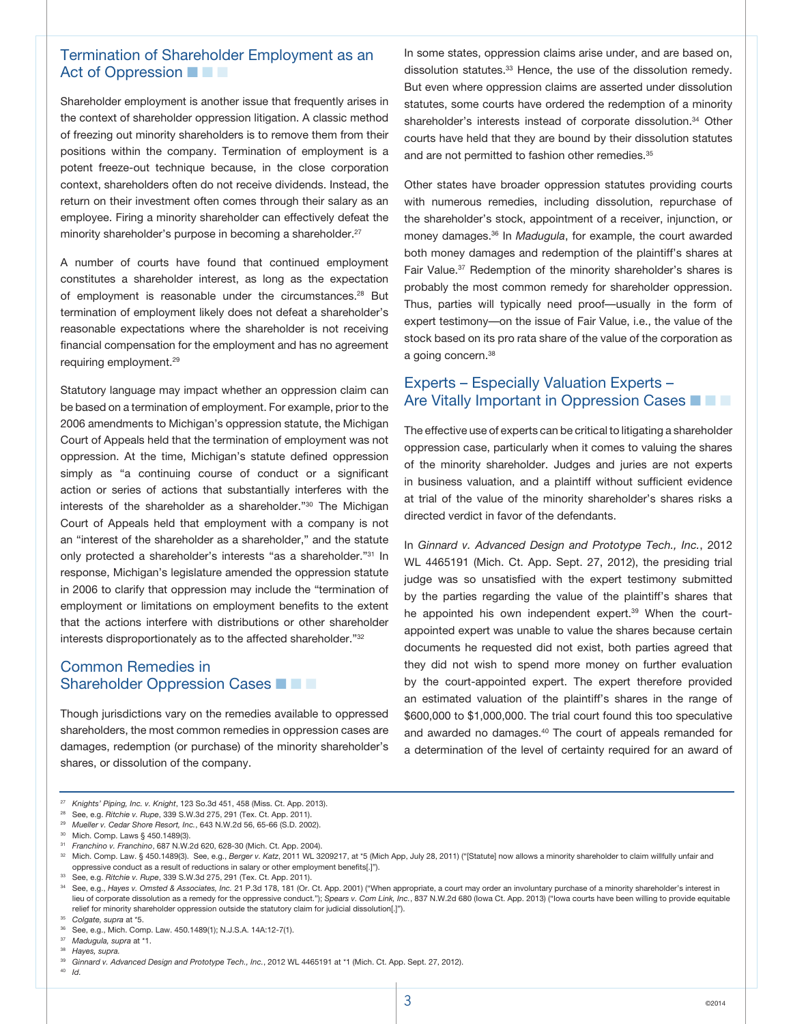### Termination of Shareholder Employment as an Act of Oppression  $\blacksquare$

Shareholder employment is another issue that frequently arises in the context of shareholder oppression litigation. A classic method of freezing out minority shareholders is to remove them from their positions within the company. Termination of employment is a potent freeze-out technique because, in the close corporation context, shareholders often do not receive dividends. Instead, the return on their investment often comes through their salary as an employee. Firing a minority shareholder can effectively defeat the minority shareholder's purpose in becoming a shareholder.<sup>27</sup>

A number of courts have found that continued employment constitutes a shareholder interest, as long as the expectation of employment is reasonable under the circumstances.<sup>28</sup> But termination of employment likely does not defeat a shareholder's reasonable expectations where the shareholder is not receiving financial compensation for the employment and has no agreement requiring employment.29

Statutory language may impact whether an oppression claim can be based on a termination of employment. For example, prior to the 2006 amendments to Michigan's oppression statute, the Michigan Court of Appeals held that the termination of employment was not oppression. At the time, Michigan's statute defined oppression simply as "a continuing course of conduct or a significant action or series of actions that substantially interferes with the interests of the shareholder as a shareholder."30 The Michigan Court of Appeals held that employment with a company is not an "interest of the shareholder as a shareholder," and the statute only protected a shareholder's interests "as a shareholder."31 In response, Michigan's legislature amended the oppression statute in 2006 to clarify that oppression may include the "termination of employment or limitations on employment benefits to the extent that the actions interfere with distributions or other shareholder interests disproportionately as to the affected shareholder."32

#### Common Remedies in Shareholder Oppression Cases **n n**  $\blacksquare$

Though jurisdictions vary on the remedies available to oppressed shareholders, the most common remedies in oppression cases are damages, redemption (or purchase) of the minority shareholder's shares, or dissolution of the company.

In some states, oppression claims arise under, and are based on, dissolution statutes.<sup>33</sup> Hence, the use of the dissolution remedy. But even where oppression claims are asserted under dissolution statutes, some courts have ordered the redemption of a minority shareholder's interests instead of corporate dissolution.<sup>34</sup> Other courts have held that they are bound by their dissolution statutes and are not permitted to fashion other remedies.<sup>35</sup>

Other states have broader oppression statutes providing courts with numerous remedies, including dissolution, repurchase of the shareholder's stock, appointment of a receiver, injunction, or money damages.36 In *Madugula*, for example, the court awarded both money damages and redemption of the plaintiff's shares at Fair Value.37 Redemption of the minority shareholder's shares is probably the most common remedy for shareholder oppression. Thus, parties will typically need proof—usually in the form of expert testimony—on the issue of Fair Value, i.e., the value of the stock based on its pro rata share of the value of the corporation as a going concern.<sup>38</sup>

### Experts – Especially Valuation Experts – Are Vitally Important in Oppression Cases  $\blacksquare$

The effective use of experts can be critical to litigating a shareholder oppression case, particularly when it comes to valuing the shares of the minority shareholder. Judges and juries are not experts in business valuation, and a plaintiff without sufficient evidence at trial of the value of the minority shareholder's shares risks a directed verdict in favor of the defendants.

In *Ginnard v. Advanced Design and Prototype Tech., Inc.*, 2012 WL 4465191 (Mich. Ct. App. Sept. 27, 2012), the presiding trial judge was so unsatisfied with the expert testimony submitted by the parties regarding the value of the plaintiff's shares that he appointed his own independent expert.<sup>39</sup> When the courtappointed expert was unable to value the shares because certain documents he requested did not exist, both parties agreed that they did not wish to spend more money on further evaluation by the court-appointed expert. The expert therefore provided an estimated valuation of the plaintiff's shares in the range of \$600,000 to \$1,000,000. The trial court found this too speculative and awarded no damages.<sup>40</sup> The court of appeals remanded for a determination of the level of certainty required for an award of

<sup>38</sup>*Hayes, supra.*

<sup>27</sup> *Knights' Piping, Inc. v. Knight*, 123 So.3d 451, 458 (Miss. Ct. App. 2013).

<sup>28</sup> See, e.g. *Ritchie v. Rupe*, 339 S.W.3d 275, 291 (Tex. Ct. App. 2011).

<sup>29</sup> *Mueller v. Cedar Shore Resort, Inc.*, 643 N.W.2d 56, 65-66 (S.D. 2002).

<sup>30</sup> Mich. Comp. Laws § 450.1489(3).

<sup>31</sup> *Franchino v. Franchino*, 687 N.W.2d 620, 628-30 (Mich. Ct. App. 2004).

<sup>32</sup> Mich. Comp. Law. § 450.1489(3). See, e.g., *Berger v. Katz*, 2011 WL 3209217, at \*5 (Mich App, July 28, 2011) ("[Statute] now allows a minority shareholder to claim willfully unfair and oppressive conduct as a result of reductions in salary or other employment benefits[.]").

<sup>33</sup> See, e.g. *Ritchie v. Rupe*, 339 S.W.3d 275, 291 (Tex. Ct. App. 2011).

<sup>34</sup> See, e.g., *Hayes v. Omsted & Associates, Inc.* 21 P.3d 178, 181 (Or. Ct. App. 2001) ("When appropriate, a court may order an involuntary purchase of a minority shareholder's interest in lieu of corporate dissolution as a remedy for the oppressive conduct."); *Spears v. Com Link, Inc.*, 837 N.W.2d 680 (Iowa Ct. App. 2013) ("Iowa courts have been willing to provide equitable relief for minority shareholder oppression outside the statutory claim for judicial dissolution[.]").

<sup>35</sup> *Colgate, supra* at \*5.

<sup>36</sup> See, e.g., Mich. Comp. Law. 450.1489(1); N.J.S.A. 14A:12-7(1).

<sup>37</sup> *Madugula, supra* at \*1.

<sup>39</sup> *Ginnard v. Advanced Design and Prototype Tech., Inc.*, 2012 WL 4465191 at \*1 (Mich. Ct. App. Sept. 27, 2012).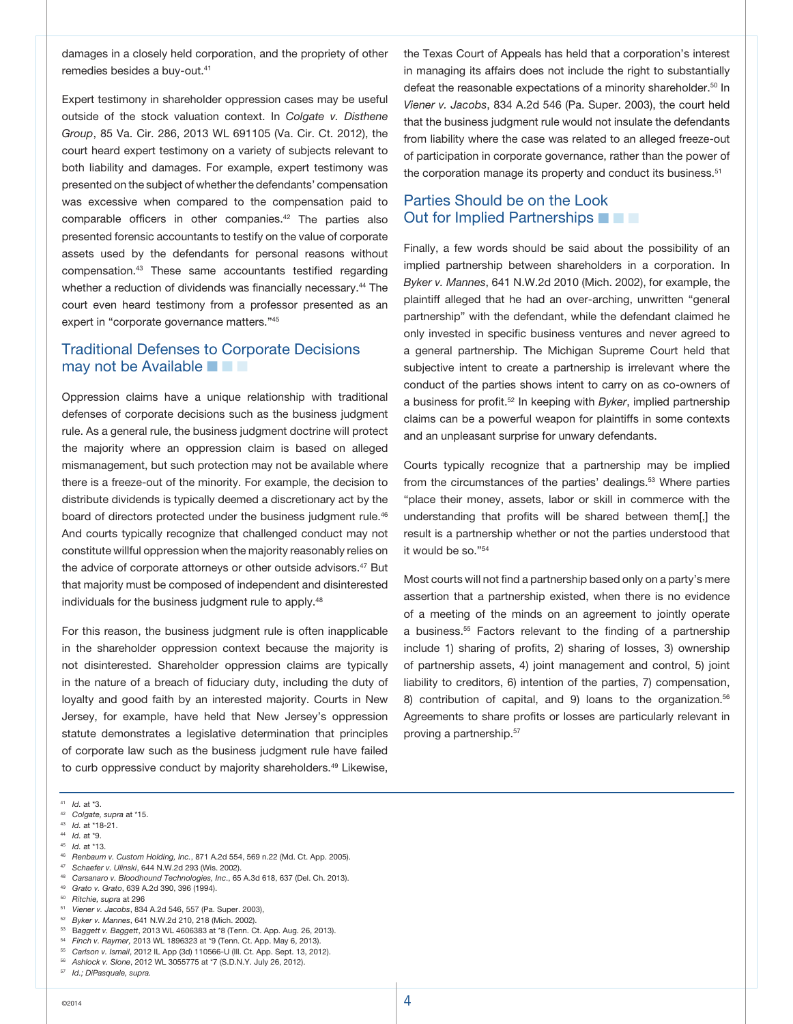damages in a closely held corporation, and the propriety of other remedies besides a buy-out.41

Expert testimony in shareholder oppression cases may be useful outside of the stock valuation context. In *Colgate v. Disthene Group*, 85 Va. Cir. 286, 2013 WL 691105 (Va. Cir. Ct. 2012), the court heard expert testimony on a variety of subjects relevant to both liability and damages. For example, expert testimony was presented on the subject of whether the defendants' compensation was excessive when compared to the compensation paid to comparable officers in other companies.<sup>42</sup> The parties also presented forensic accountants to testify on the value of corporate assets used by the defendants for personal reasons without compensation.43 These same accountants testified regarding whether a reduction of dividends was financially necessary.<sup>44</sup> The court even heard testimony from a professor presented as an expert in "corporate governance matters."45

#### Traditional Defenses to Corporate Decisions may not be Available  $\blacksquare$   $\blacksquare$

Oppression claims have a unique relationship with traditional defenses of corporate decisions such as the business judgment rule. As a general rule, the business judgment doctrine will protect the majority where an oppression claim is based on alleged mismanagement, but such protection may not be available where there is a freeze-out of the minority. For example, the decision to distribute dividends is typically deemed a discretionary act by the board of directors protected under the business judgment rule.<sup>46</sup> And courts typically recognize that challenged conduct may not constitute willful oppression when the majority reasonably relies on the advice of corporate attorneys or other outside advisors.<sup>47</sup> But that majority must be composed of independent and disinterested individuals for the business judgment rule to apply.<sup>48</sup>

For this reason, the business judgment rule is often inapplicable in the shareholder oppression context because the majority is not disinterested. Shareholder oppression claims are typically in the nature of a breach of fiduciary duty, including the duty of loyalty and good faith by an interested majority. Courts in New Jersey, for example, have held that New Jersey's oppression statute demonstrates a legislative determination that principles of corporate law such as the business judgment rule have failed to curb oppressive conduct by majority shareholders.<sup>49</sup> Likewise,

the Texas Court of Appeals has held that a corporation's interest in managing its affairs does not include the right to substantially defeat the reasonable expectations of a minority shareholder.<sup>50</sup> In *Viener v. Jacobs*, 834 A.2d 546 (Pa. Super. 2003), the court held that the business judgment rule would not insulate the defendants from liability where the case was related to an alleged freeze-out of participation in corporate governance, rather than the power of the corporation manage its property and conduct its business.<sup>51</sup>

### Parties Should be on the Look Out for Implied Partnerships  $\blacksquare$   $\blacksquare$

Finally, a few words should be said about the possibility of an implied partnership between shareholders in a corporation. In *Byker v. Mannes*, 641 N.W.2d 2010 (Mich. 2002), for example, the plaintiff alleged that he had an over-arching, unwritten "general partnership" with the defendant, while the defendant claimed he only invested in specific business ventures and never agreed to a general partnership. The Michigan Supreme Court held that subjective intent to create a partnership is irrelevant where the conduct of the parties shows intent to carry on as co-owners of a business for profit.52 In keeping with *Byker*, implied partnership claims can be a powerful weapon for plaintiffs in some contexts and an unpleasant surprise for unwary defendants.

Courts typically recognize that a partnership may be implied from the circumstances of the parties' dealings.<sup>53</sup> Where parties "place their money, assets, labor or skill in commerce with the understanding that profits will be shared between them[,] the result is a partnership whether or not the parties understood that it would be so."54

Most courts will not find a partnership based only on a party's mere assertion that a partnership existed, when there is no evidence of a meeting of the minds on an agreement to jointly operate a business.<sup>55</sup> Factors relevant to the finding of a partnership include 1) sharing of profits, 2) sharing of losses, 3) ownership of partnership assets, 4) joint management and control, 5) joint liability to creditors, 6) intention of the parties, 7) compensation, 8) contribution of capital, and 9) loans to the organization.<sup>56</sup> Agreements to share profits or losses are particularly relevant in proving a partnership.57

<sup>41</sup> *Id.* at \*3.

<sup>42</sup> *Colgate, supra* at \*15.

<sup>43</sup> *Id.* at \*18-21. <sup>44</sup> *Id.* at \*9.

<sup>45</sup> *Id.* at \*13.

<sup>46</sup> *Renbaum v. Custom Holding, Inc.*, 871 A.2d 554, 569 n.22 (Md. Ct. App. 2005). <sup>47</sup> *Schaefer v. Ulinski*, 644 N.W.2d 293 (Wis. 2002).

<sup>48</sup> *Carsanaro v. Bloodhound Technologies, Inc*., 65 A.3d 618, 637 (Del. Ch. 2013).

<sup>49</sup> *Grato v. Grato*, 639 A.2d 390, 396 (1994).

<sup>50</sup> *Ritchie, supra* at 296

<sup>51</sup> *Viener v. Jacobs*, 834 A.2d 546, 557 (Pa. Super. 2003),

<sup>52</sup> *Byker v. Mannes*, 641 N.W.2d 210, 218 (Mich. 2002).

<sup>53</sup> B*aggett v. Baggett*, 2013 WL 4606383 at \*8 (Tenn. Ct. App. Aug. 26, 2013).

<sup>54</sup> *Finch v. Raymer,* 2013 WL 1896323 at \*9 (Tenn. Ct. App. May 6, 2013).

<sup>55</sup> *Carlson v. Ismail*, 2012 IL App (3d) 110566-U (Ill. Ct. App. Sept. 13, 2012).

<sup>56</sup> *Ashlock v. Slone*, 2012 WL 3055775 at \*7 (S.D.N.Y. July 26, 2012).

<sup>57</sup> *Id.; DiPasquale, supra.*